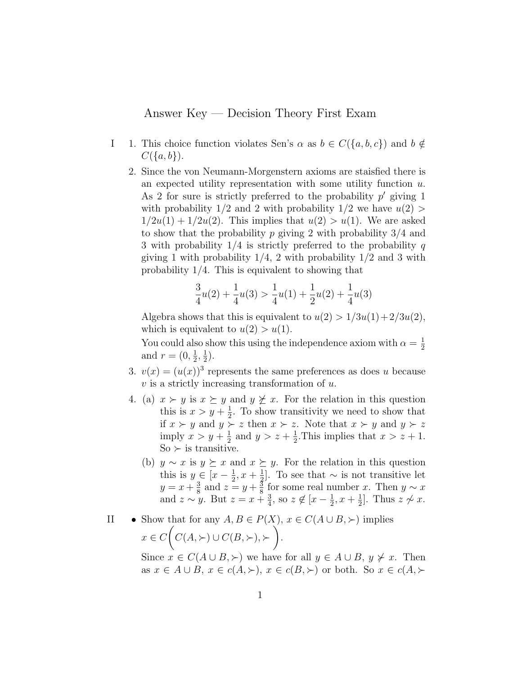## Answer Key — Decision Theory First Exam

- I 1. This choice function violates Sen's  $\alpha$  as  $b \in C({a, b, c})$  and  $b \notin$  $C({a,b}).$ 
	- 2. Since the von Neumann-Morgenstern axioms are staisfied there is an expected utility representation with some utility function  $u$ . As 2 for sure is strictly preferred to the probability  $p'$  giving 1 with probability  $1/2$  and 2 with probability  $1/2$  we have  $u(2)$  $1/2u(1) + 1/2u(2)$ . This implies that  $u(2) > u(1)$ . We are asked to show that the probability p giving 2 with probability  $3/4$  and 3 with probability  $1/4$  is strictly preferred to the probability q giving 1 with probability  $1/4$ , 2 with probability  $1/2$  and 3 with probability 1/4. This is equivalent to showing that

$$
\frac{3}{4}u(2) + \frac{1}{4}u(3) > \frac{1}{4}u(1) + \frac{1}{2}u(2) + \frac{1}{4}u(3)
$$

Algebra shows that this is equivalent to  $u(2) > 1/3u(1) + 2/3u(2)$ , which is equivalent to  $u(2) > u(1)$ .

You could also show this using the independence axiom with  $\alpha = \frac{1}{2}$ 2 and  $r=(0,\frac{1}{2})$  $\frac{1}{2}, \frac{1}{2}$  $(\frac{1}{2})$ .

- 3.  $v(x) = (u(x))^3$  represents the same preferences as does u because  $v$  is a strictly increasing transformation of  $u$ .
- 4. (a)  $x \succ y$  is  $x \succeq y$  and  $y \not\succeq x$ . For the relation in this question this is  $x > y + \frac{1}{2}$  $\frac{1}{2}$ . To show transitivity we need to show that if  $x \succ y$  and  $y \succ z$  then  $x \succ z$ . Note that  $x \succ y$  and  $y \succ z$ imply  $x > y + \frac{1}{2}$  $\frac{1}{2}$  and  $y > z + \frac{1}{2}$  $\frac{1}{2}$ . This implies that  $x > z + 1$ .  $\text{So} \succ \text{is transitive}.$ 
	- (b)  $y \sim x$  is  $y \succeq x$  and  $x \succeq y$ . For the relation in this question this is  $y \in \left[x - \frac{1}{2}\right]$  $\frac{1}{2}$ ,  $x + \frac{1}{2}$  $\frac{1}{2}$ . To see that  $\sim$  is not transitive let  $y = x + \frac{3}{8}$  $\frac{3}{8}$  and  $z = y + \frac{5}{8}$  $\frac{3}{8}$  for some real number x. Then  $y \sim x$ and  $z \sim y$ . But  $z = x + \frac{3}{4}$  $\frac{3}{4}$ , so  $z \notin \left[x-\frac{1}{2}\right]$  $\frac{1}{2}$ ,  $x + \frac{1}{2}$  $\frac{1}{2}$ . Thus  $z \nsim x$ .
- II Show that for any  $A, B \in P(X), x \in C(A \cup B, \succ)$  implies  $x \in C$  $\sqrt{ }$  $C(A, \succ) \cup C(B, \succ), \succ$  $\setminus$ .

Since  $x \in C(A \cup B, \succ)$  we have for all  $y \in A \cup B$ ,  $y \not\succ x$ . Then as  $x \in A \cup B$ ,  $x \in c(A, \succ)$ ,  $x \in c(B, \succ)$  or both. So  $x \in c(A, \succ)$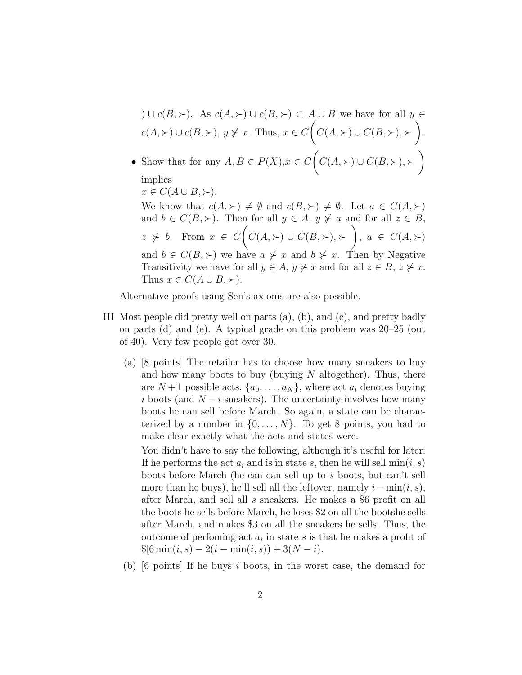\n- \n
$$
\bigcup
$$
 *c*(*B*,  $\succ$ ). As *c*(*A*,  $\succ$ ) *∪ c*(*B*,  $\succ$ ) *c A ∪ B* we have for all *y* ∈ *c*(*A*,  $\succ$ ) *∪ c*(*B*,  $\succ$ ), *y*  $\neq$  *x*. Thus, *x* ∈ *C*(*C*(*A*,  $\succ$ ) *∪ C*(*B*,  $\succ$ ),  $\succ$ ).\n
\n- \n • Show that for any *A*, *B* ∈ *P*(*X*), *x* ∈ *C*(*C*(*A*,  $\succ$ ) *∪ C*(*B*,  $\succ$ ),  $\succ$ ) implies\n  $x \in C(A \cup B, \succ).$ \n We know that  $c(A, \succ) \neq \emptyset$  and  $c(B, \succ) \neq \emptyset$ . Let  $a \in C(A, \succ)$  and  $b \in C(B, \succ)$ . Then for all  $y \in A$ ,  $y \neq a$  and for all  $z \in B$ ,  $z \neq b$ . From  $x \in C(C(A, \succ) \cup C(B, \succ), \succ)$ ,  $a \in C(A, \succ)$  and  $b \in C(B, \succ)$ , we have  $a \neq x$  and  $b \neq x$ . Then by Negative Transitivity, we have for all  $y \in A$ ,  $y \neq x$  and for all  $z \in B$ ,  $z \neq x$ . Thus  $x \in C(A \cup B, \succ)$ .\n
\n

Alternative proofs using Sen's axioms are also possible.

- III Most people did pretty well on parts (a), (b), and (c), and pretty badly on parts (d) and (e). A typical grade on this problem was 20–25 (out of 40). Very few people got over 30.
	- (a) [8 points] The retailer has to choose how many sneakers to buy and how many boots to buy (buying  $N$  altogether). Thus, there are  $N+1$  possible acts,  $\{a_0, \ldots, a_N\}$ , where act  $a_i$  denotes buying i boots (and  $N - i$  sneakers). The uncertainty involves how many boots he can sell before March. So again, a state can be characterized by a number in  $\{0, \ldots, N\}$ . To get 8 points, you had to make clear exactly what the acts and states were.

You didn't have to say the following, although it's useful for later: If he performs the act  $a_i$  and is in state s, then he will sell  $\min(i, s)$ boots before March (he can can sell up to s boots, but can't sell more than he buys), he'll sell all the leftover, namely  $i - min(i, s)$ , after March, and sell all s sneakers. He makes a \$6 profit on all the boots he sells before March, he loses \$2 on all the bootshe sells after March, and makes \$3 on all the sneakers he sells. Thus, the outcome of perfoming act  $a_i$  in state s is that he makes a profit of  $\{\$6\min(i, s) - 2(i - \min(i, s)) + 3(N - i)\}.$ 

(b) [6 points] If he buys i boots, in the worst case, the demand for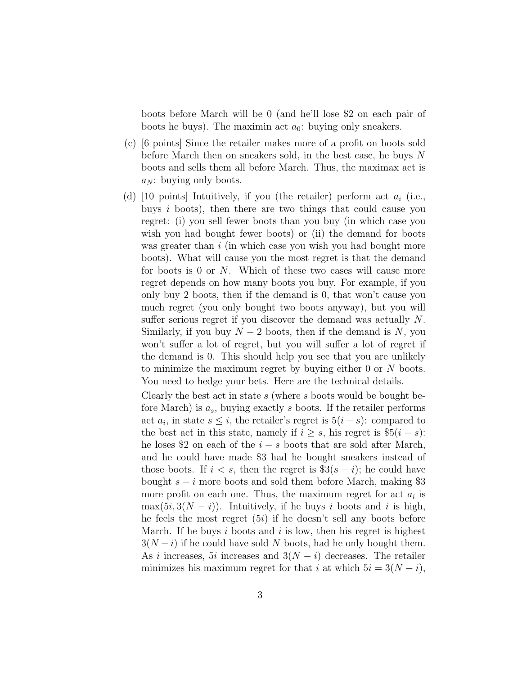boots before March will be 0 (and he'll lose \$2 on each pair of boots he buys). The maximin act  $a_0$ : buying only sneakers.

- (c) [6 points] Since the retailer makes more of a profit on boots sold before March then on sneakers sold, in the best case, he buys N boots and sells them all before March. Thus, the maximax act is  $a_N$ : buying only boots.
- (d) [10 points] Intuitively, if you (the retailer) perform act  $a_i$  (i.e., buys i boots), then there are two things that could cause you regret: (i) you sell fewer boots than you buy (in which case you wish you had bought fewer boots) or (ii) the demand for boots was greater than i (in which case you wish you had bought more boots). What will cause you the most regret is that the demand for boots is 0 or N. Which of these two cases will cause more regret depends on how many boots you buy. For example, if you only buy 2 boots, then if the demand is 0, that won't cause you much regret (you only bought two boots anyway), but you will suffer serious regret if you discover the demand was actually N. Similarly, if you buy  $N-2$  boots, then if the demand is N, you won't suffer a lot of regret, but you will suffer a lot of regret if the demand is 0. This should help you see that you are unlikely to minimize the maximum regret by buying either 0 or N boots. You need to hedge your bets. Here are the technical details.

Clearly the best act in state s (where s boots would be bought before March) is  $a_s$ , buying exactly s boots. If the retailer performs act  $a_i$ , in state  $s \leq i$ , the retailer's regret is  $5(i - s)$ : compared to the best act in this state, namely if  $i \geq s$ , his regret is  $\frac{15}{i - s}$ : he loses \$2 on each of the  $i - s$  boots that are sold after March, and he could have made \$3 had he bought sneakers instead of those boots. If  $i < s$ , then the regret is  $\$3(s-i)$ ; he could have bought  $s - i$  more boots and sold them before March, making \$3 more profit on each one. Thus, the maximum regret for act  $a_i$  is  $\max(5i, 3(N - i))$ . Intuitively, if he buys i boots and i is high, he feels the most regret  $(5i)$  if he doesn't sell any boots before March. If he buys  $i$  boots and  $i$  is low, then his regret is highest  $3(N-i)$  if he could have sold N boots, had he only bought them. As i increases, 5i increases and  $3(N-i)$  decreases. The retailer minimizes his maximum regret for that i at which  $5i = 3(N - i)$ ,